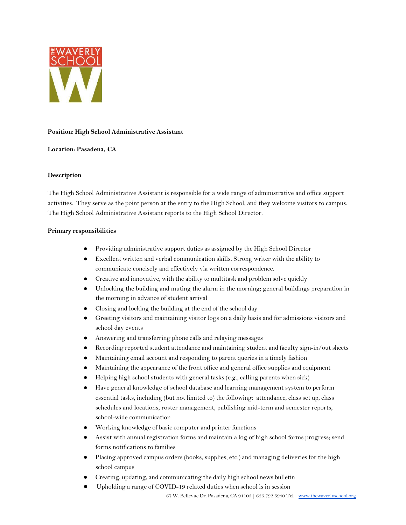

## **Position: High School Administrative Assistant**

# **Location: Pasadena, CA**

## **Description**

The High School Administrative Assistant is responsible for a wide range of administrative and office support activities. They serve as the point person at the entry to the High School, and they welcome visitors to campus. The High School Administrative Assistant reports to the High School Director.

## **Primary responsibilities**

- Providing administrative support duties as assigned by the High School Director
- Excellent written and verbal communication skills. Strong writer with the ability to communicate concisely and effectively via written correspondence.
- Creative and innovative, with the ability to multitask and problem solve quickly
- Unlocking the building and muting the alarm in the morning; general buildings preparation in the morning in advance of student arrival
- Closing and locking the building at the end of the school day
- Greeting visitors and maintaining visitor logs on a daily basis and for admissions visitors and school day events
- Answering and transferring phone calls and relaying messages
- Recording reported student attendance and maintaining student and faculty sign-in/out sheets
- Maintaining email account and responding to parent queries in a timely fashion
- Maintaining the appearance of the front office and general office supplies and equipment
- Helping high school students with general tasks (e.g., calling parents when sick)
- Have general knowledge of school database and learning management system to perform essential tasks, including (but not limited to) the following: attendance, class set up, class schedules and locations, roster management, publishing mid-term and semester reports, school-wide communication
- Working knowledge of basic computer and printer functions
- Assist with annual registration forms and maintain a log of high school forms progress; send forms notifications to families
- Placing approved campus orders (books, supplies, etc.) and managing deliveries for the high school campus
- Creating, updating, and communicating the daily high school news bulletin
- Upholding a range of COVID-19 related duties when school is in session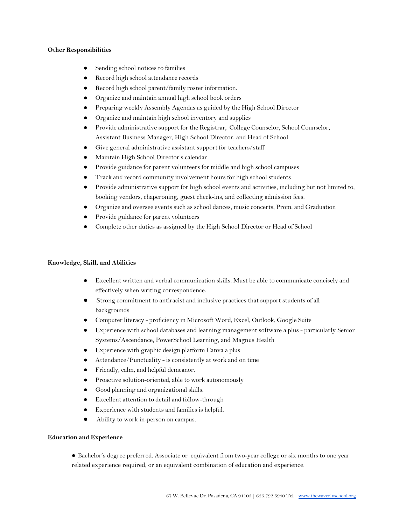### **Other Responsibilities**

- Sending school notices to families
- Record high school attendance records
- Record high school parent/family roster information.
- Organize and maintain annual high school book orders
- Preparing weekly Assembly Agendas as guided by the High School Director
- Organize and maintain high school inventory and supplies
- Provide administrative support for the Registrar, College Counselor, School Counselor, Assistant Business Manager, High School Director, and Head of School
- Give general administrative assistant support for teachers/staff
- Maintain High School Director's calendar
- Provide guidance for parent volunteers for middle and high school campuses
- Track and record community involvement hours for high school students
- Provide administrative support for high school events and activities, including but not limited to, booking vendors, chaperoning, guest check-ins, and collecting admission fees.
- Organize and oversee events such as school dances, music concerts, Prom, and Graduation
- Provide guidance for parent volunteers
- Complete other duties as assigned by the High School Director or Head of School

### **Knowledge, Skill, and Abilities**

- **●** Excellent written and verbal communication skills. Must be able to communicate concisely and effectively when writing correspondence.
- Strong commitment to antiracist and inclusive practices that support students of all backgrounds
- Computer literacy proficiency in Microsoft Word, Excel, Outlook, Google Suite
- Experience with school databases and learning management software a plus particularly Senior Systems/Ascendance, PowerSchool Learning, and Magnus Health
- Experience with graphic design platform Canva a plus
- Attendance/Punctuality is consistently at work and on time
- Friendly, calm, and helpful demeanor.
- Proactive solution-oriented, able to work autonomously
- Good planning and organizational skills.
- Excellent attention to detail and follow-through
- Experience with students and families is helpful.
- Ability to work in-person on campus.

#### **Education and Experience**

● Bachelor's degree preferred. Associate or equivalent from two-year college or six months to one year related experience required, or an equivalent combination of education and experience.